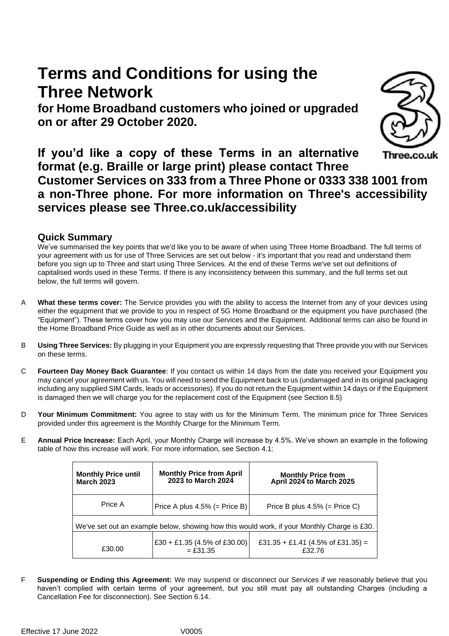# **Terms and Conditions for using the Three Network**

**for Home Broadband customers who joined or upgraded on or after 29 October 2020.**



**If you'd like a copy of these Terms in an alternative**  Three.co.uk **format (e.g. Braille or large print) please contact Three Customer Services on 333 from a Three Phone or 0333 338 1001 from a non-Three phone. For more information on Three's accessibility services please see Three.co.uk/accessibility**

# **Quick Summary**

We've summarised the key points that we'd like you to be aware of when using Three Home Broadband. The full terms of your agreement with us for use of Three Services are set out below - it's important that you read and understand them before you sign up to Three and start using Three Services. At the end of these Terms we've set out definitions of capitalised words used in these Terms. If there is any inconsistency between this summary, and the full terms set out below, the full terms will govern.

- A **What these terms cover:** The Service provides you with the ability to access the Internet from any of your devices using either the equipment that we provide to you in respect of 5G Home Broadband or the equipment you have purchased (the "Equipment"). These terms cover how you may use our Services and the Equipment. Additional terms can also be found in the Home Broadband Price Guide as well as in other documents about our Services.
- B **Using Three Services:** By plugging in your Equipment you are expressly requesting that Three provide you with our Services on these terms.
- C **Fourteen Day Money Back Guarantee**: If you contact us within 14 days from the date you received your Equipment you may cancel your agreement with us. You will need to send the Equipment back to us (undamaged and in its original packaging including any supplied SIM Cards, leads or accessories). If you do not return the Equipment within 14 days or if the Equipment is damaged then we will charge you for the replacement cost of the Equipment (see Section [8.5\)](#page-6-0)
- D **Your Minimum Commitment:** You agree to stay with us for the Minimum Term. The minimum price for Three Services provided under this agreement is the Monthly Charge for the Minimum Term.
- E **Annual Price Increase:** Each April, your Monthly Charge will increase by 4.5%. We've shown an example in the following table of how this increase will work. For more information, see Section 4.1:

| <b>Monthly Price until</b><br><b>March 2023</b>                                             | <b>Monthly Price from April</b><br>2023 to March 2024 | Monthly Price from<br>April 2024 to March 2025 |  |  |
|---------------------------------------------------------------------------------------------|-------------------------------------------------------|------------------------------------------------|--|--|
| Price A                                                                                     | Price A plus $4.5\%$ (= Price B)                      | Price B plus $4.5\%$ (= Price C)               |  |  |
| We've set out an example below, showing how this would work, if your Monthly Charge is £30. |                                                       |                                                |  |  |
| £30.00                                                                                      | £30 + £1.35 (4.5% of £30.00)<br>$=$ £31.35            | £31.35 + £1.41 (4.5% of £31.35) =<br>£32.76    |  |  |

F **Suspending or Ending this Agreement:** We may suspend or disconnect our Services if we reasonably believe that you haven't complied with certain terms of your agreement, but you still must pay all outstanding Charges (including a Cancellation Fee for disconnection). See Section [6.14.](#page-5-0)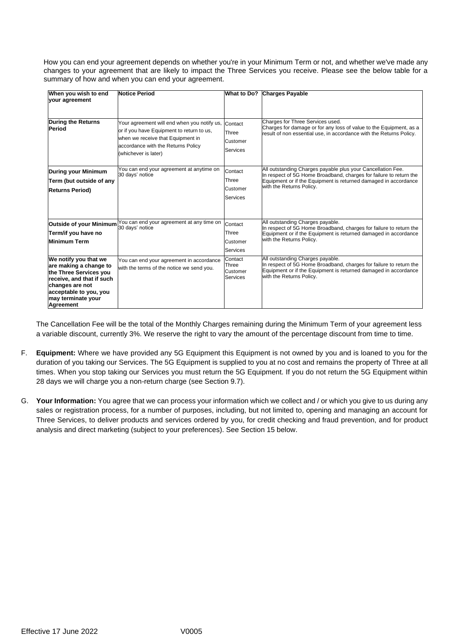How you can end your agreement depends on whether you're in your Minimum Term or not, and whether we've made any changes to your agreement that are likely to impact the Three Services you receive. Please see the below table for a summary of how and when you can end your agreement.

| When you wish to end<br>your agreement                                                                                                                                                 | <b>Notice Period</b>                                                                                                                                                                        | <b>What to Do?</b>                              | <b>Charges Payable</b>                                                                                                                                                                                                           |
|----------------------------------------------------------------------------------------------------------------------------------------------------------------------------------------|---------------------------------------------------------------------------------------------------------------------------------------------------------------------------------------------|-------------------------------------------------|----------------------------------------------------------------------------------------------------------------------------------------------------------------------------------------------------------------------------------|
| <b>During the Returns</b><br>Period                                                                                                                                                    | Your agreement will end when you notify us,<br>or if you have Equipment to return to us,<br>when we receive that Equipment in<br>accordance with the Returns Policy<br>(whichever is later) | Contact<br>Three<br>Customer<br>Services        | Charges for Three Services used.<br>Charges for damage or for any loss of value to the Equipment, as a<br>result of non essential use, in accordance with the Returns Policy.                                                    |
| <b>During your Minimum</b><br>Term (but outside of any<br><b>Returns Period)</b>                                                                                                       | You can end your agreement at anytime on<br>30 days' notice                                                                                                                                 | Contact<br>Three<br>Customer<br><b>Services</b> | All outstanding Charges payable plus your Cancellation Fee.<br>In respect of 5G Home Broadband, charges for failure to return the<br>Equipment or if the Equipment is returned damaged in accordance<br>with the Returns Policy. |
| Outside of your Minimum<br>Term/if you have no<br><b>Minimum Term</b>                                                                                                                  | You can end your agreement at any time on<br>30 days' notice                                                                                                                                | Contact<br>Three<br>Customer<br><b>Services</b> | All outstanding Charges payable.<br>In respect of 5G Home Broadband, charges for failure to return the<br>Equipment or if the Equipment is returned damaged in accordance<br>with the Returns Policy.                            |
| We notify you that we<br>are making a change to<br>the Three Services you<br>receive, and that if such<br>changes are not<br>acceptable to you, you<br>may terminate your<br>Agreement | You can end your agreement in accordance<br>with the terms of the notice we send you.                                                                                                       | Contact<br>Three<br>Customer<br><b>Services</b> | All outstanding Charges payable.<br>In respect of 5G Home Broadband, charges for failure to return the<br>Equipment or if the Equipment is returned damaged in accordance<br>with the Returns Policy.                            |

The Cancellation Fee will be the total of the Monthly Charges remaining during the Minimum Term of your agreement less a variable discount, currently 3%. We reserve the right to vary the amount of the percentage discount from time to time.

- F. **Equipment:** Where we have provided any 5G Equipment this Equipment is not owned by you and is loaned to you for the duration of you taking our Services. The 5G Equipment is supplied to you at no cost and remains the property of Three at all times. When you stop taking our Services you must return the 5G Equipment. If you do not return the 5G Equipment within 28 days we will charge you a non-return charge (see Section [9.7\)](#page-6-1).
- G. **Your Information:** You agree that we can process your information which we collect and / or which you give to us during any sales or registration process, for a number of purposes, including, but not limited to, opening and managing an account for Three Services, to deliver products and services ordered by you, for credit checking and fraud prevention, and for product analysis and direct marketing (subject to your preferences). See Section 15 below.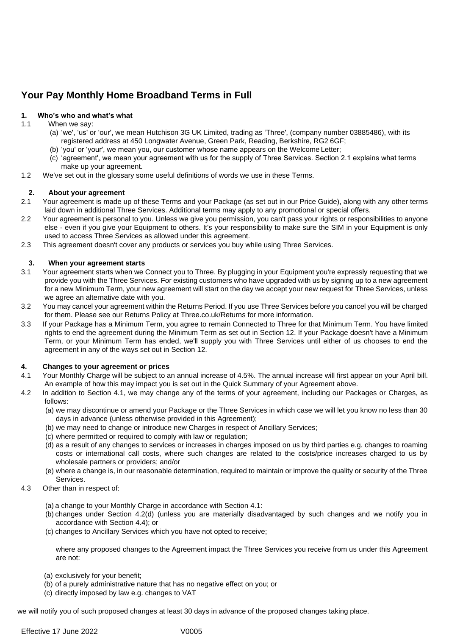# **Your Pay Monthly Home Broadband Terms in Full**

### **1. Who's who and what's what**

- 1.1 When we say:
	- (a) 'we', 'us' or 'our', we mean Hutchison 3G UK Limited, trading as 'Three', (company number 03885486), with its registered address at 450 Longwater Avenue, Green Park, Reading, Berkshire, RG2 6GF;
	- (b) 'you' or 'your', we mean you, our customer whose name appears on the Welcome Letter;
	- (c) 'agreement', we mean your agreement with us for the supply of Three Services. Section 2.1 explains what terms make up your agreement.
- 1.2 We've set out in the glossary some useful definitions of words we use in these Terms.

#### **2. About your agreement**

- 2.1 Your agreement is made up of these Terms and your Package (as set out in our Price Guide), along with any other terms laid down in additional Three Services. Additional terms may apply to any promotional or special offers.
- 2.2 Your agreement is personal to you. Unless we give you permission, you can't pass your rights or responsibilities to anyone else - even if you give your Equipment to others. It's your responsibility to make sure the SIM in your Equipment is only used to access Three Services as allowed under this agreement.
- 2.3 This agreement doesn't cover any products or services you buy while using Three Services.

#### **3. When your agreement starts**

- 3.1 Your agreement starts when we Connect you to Three. By plugging in your Equipment you're expressly requesting that we provide you with the Three Services. For existing customers who have upgraded with us by signing up to a new agreement for a new Minimum Term, your new agreement will start on the day we accept your new request for Three Services, unless we agree an alternative date with you.
- 3.2 You may cancel your agreement within the Returns Period. If you use Three Services before you cancel you will be charged for them. Please see our Returns Policy at Three.co.uk/Returns for more information.
- 3.3 If your Package has a Minimum Term, you agree to remain Connected to Three for that Minimum Term. You have limited rights to end the agreement during the Minimum Term as set out in Section 12. If your Package doesn't have a Minimum Term, or your Minimum Term has ended, we'll supply you with Three Services until either of us chooses to end the agreement in any of the ways set out in Section 12.

#### **4. Changes to your agreement or prices**

- 4.1 Your Monthly Charge will be subject to an annual increase of 4.5%. The annual increase will first appear on your April bill. An example of how this may impact you is set out in the Quick Summary of your Agreement above.
- 4.2 In addition to Section 4.1, we may change any of the terms of your agreement, including our Packages or Charges, as follows:
	- (a) we may discontinue or amend your Package or the Three Services in which case we will let you know no less than 30 days in advance (unless otherwise provided in this Agreement);
	- (b) we may need to change or introduce new Charges in respect of Ancillary Services;
	- (c) where permitted or required to comply with law or regulation;
	- (d) as a result of any changes to services or increases in charges imposed on us by third parties e.g. changes to roaming costs or international call costs, where such changes are related to the costs/price increases charged to us by wholesale partners or providers; and/or
	- (e) where a change is, in our reasonable determination, required to maintain or improve the quality or security of the Three Services.
- 4.3 Other than in respect of:
	- (a) a change to your Monthly Charge in accordance with Section 4.1:
	- (b) changes under Section 4.2(d) (unless you are materially disadvantaged by such changes and we notify you in accordance with Section 4.4); or
	- (c) changes to Ancillary Services which you have not opted to receive;

where any proposed changes to the Agreement impact the Three Services you receive from us under this Agreement are not:

- (a) exclusively for your benefit;
- (b) of a purely administrative nature that has no negative effect on you; or
- (c) directly imposed by law e.g. changes to VAT

we will notify you of such proposed changes at least 30 days in advance of the proposed changes taking place.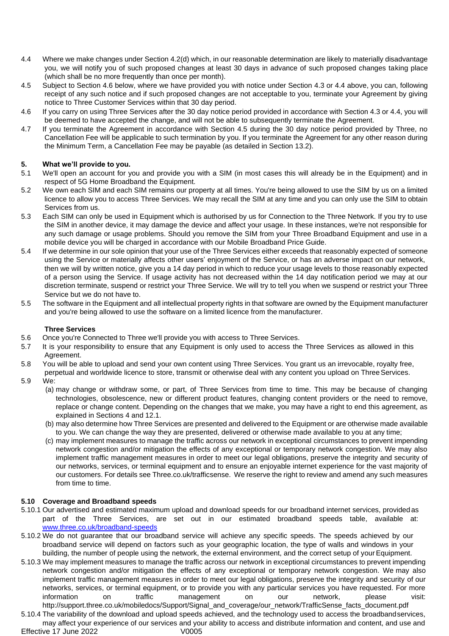- <span id="page-3-0"></span>4.4 Where we make changes under Section 4.2(d) which, in our reasonable determination are likely to materially disadvantage you, we will notify you of such proposed changes at least 30 days in advance of such proposed changes taking place (which shall be no more frequently than once per month).
- 4.5 Subject to Section 4.6 below, where we have provided you with notice under Section 4.3 or [4.4](#page-3-0) above, you can, following receipt of any such notice and if such proposed changes are not acceptable to you, terminate your Agreement by giving notice to Three Customer Services within that 30 day period.
- 4.6 If you carry on using Three Services after the 30 day notice period provided in accordance with Section 4.3 or 4.4, you will be deemed to have accepted the change, and will not be able to subsequently terminate the Agreement.
- 4.7 If you terminate the Agreement in accordance with Section 4.5 during the 30 day notice period provided by Three, no Cancellation Fee will be applicable to such termination by you. If you terminate the Agreement for any other reason during the Minimum Term, a Cancellation Fee may be payable (as detailed in Section 13.2).

### **5. What we'll provide to you.**

- 5.1 We'll open an account for you and provide you with a SIM (in most cases this will already be in the Equipment) and in respect of 5G Home Broadband the Equipment.
- 5.2 We own each SIM and each SIM remains our property at all times. You're being allowed to use the SIM by us on a limited licence to allow you to access Three Services. We may recall the SIM at any time and you can only use the SIM to obtain Services from us.
- 5.3 Each SIM can only be used in Equipment which is authorised by us for Connection to the Three Network. If you try to use the SIM in another device, it may damage the device and affect your usage. In these instances, we're not responsible for any such damage or usage problems. Should you remove the SIM from your Three Broadband Equipment and use in a mobile device you will be charged in accordance with our Mobile Broadband Price Guide.
- 5.4 If we determine in our sole opinion that your use of the Three Services either exceeds that reasonably expected of someone using the Service or materially affects other users' enjoyment of the Service, or has an adverse impact on our network, then we will by written notice, give you a 14 day period in which to reduce your usage levels to those reasonably expected of a person using the Service. If usage activity has not decreased within the 14 day notification period we may at our discretion terminate, suspend or restrict your Three Service. We will try to tell you when we suspend or restrict your Three Service but we do not have to.
- 5.5 The software in the Equipment and all intellectual property rights in that software are owned by the Equipment manufacturer and you're being allowed to use the software on a limited licence from the manufacturer.

### **Three Services**

- 5.6 Once you're Connected to Three we'll provide you with access to Three Services.
- 5.7 It is your responsibility to ensure that any Equipment is only used to access the Three Services as allowed in this Agreement.
- 5.8 You will be able to upload and send your own content using Three Services. You grant us an irrevocable, royalty free,

perpetual and worldwide licence to store, transmit or otherwise deal with any content you upload on Three Services.

- 5.9 We:
	- (a) may change or withdraw some, or part, of Three Services from time to time. This may be because of changing technologies, obsolescence, new or different product features, changing content providers or the need to remove, replace or change content. Depending on the changes that we make, you may have a right to end this agreement, as explained in Sections 4 and 12.1.
	- (b) may also determine how Three Services are presented and delivered to the Equipment or are otherwise made available to you. We can change the way they are presented, delivered or otherwise made available to you at any time;
	- (c) may implement measures to manage the traffic across our network in exceptional circumstances to prevent impending network congestion and/or mitigation the effects of any exceptional or temporary network congestion. We may also implement traffic management measures in order to meet our legal obligations, preserve the integrity and security of our networks, services, or terminal equipment and to ensure an enjoyable internet experience for the vast majority of our customers. For details see Three.co.uk/trafficsense. We reserve the right to review and amend any such measures from time to time.

### **5.10 Coverage and Broadband speeds**

- 5.10.1 Our advertised and estimated maximum upload and download speeds for our broadband internet services, provided as part of the Three Services, are set out in our estimated broadband speeds table, available at: [www.three.co.uk/broadband-speeds](http://www.three.co.uk/broadband-speeds)
- 5.10.2 We do not guarantee that our broadband service will achieve any specific speeds. The speeds achieved by our broadband service will depend on factors such as your geographic location, the type of walls and windows in your building, the number of people using the network, the external environment, and the correct setup of your Equipment.
- 5.10.3 We may implement measures to manage the traffic across our network in exceptional circumstances to prevent impending network congestion and/or mitigation the effects of any exceptional or temporary network congestion. We may also implement traffic management measures in order to meet our legal obligations, preserve the integrity and security of our networks, services, or terminal equipment, or to provide you with any particular services you have requested. For more information on traffic management on our network, please visit: [http://support.three.co.uk/mobiledocs/Support/Signal\\_and\\_coverage/our\\_network/TrafficSense\\_facts\\_document.pdf](http://support.three.co.uk/mobiledocs/Support/Signal_and_coverage/our_network/TrafficSense_facts_document.pdf)

Effective 17 June 2022 V0005 5.10.4 The variability of the download and upload speeds achieved, and the technology used to access the broadbandservices, may affect your experience of our services and your ability to access and distribute information and content, and use and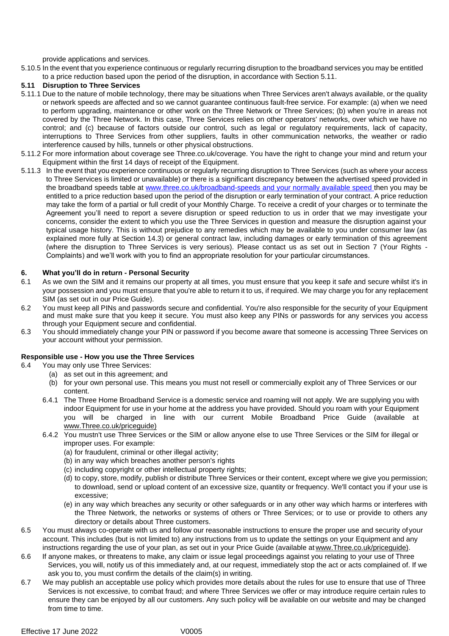provide applications and services.

5.10.5 In the event that you experience continuous or regularly recurring disruption to the broadband services you may be entitled to a price reduction based upon the period of the disruption, in accordance with Section 5.11.

#### **5.11 Disruption to Three Services**

- 5.11.1 Due to the nature of mobile technology, there may be situations when Three Services aren't always available, or the quality or network speeds are affected and so we cannot guarantee continuous fault-free service. For example: (a) when we need to perform upgrading, maintenance or other work on the Three Network or Three Services; (b) when you're in areas not covered by the Three Network. In this case, Three Services relies on other operators' networks, over which we have no control; and (c) because of factors outside our control, such as legal or regulatory requirements, lack of capacity, interruptions to Three Services from other suppliers, faults in other communication networks, the weather or radio interference caused by hills, tunnels or other physical obstructions.
- 5.11.2 For more information about coverage see Three.co.uk/coverage. You have the right to change your mind and return your Equipment within the first 14 days of receipt of the Equipment.
- 5.11.3 In the event that you experience continuous or regularly recurring disruption to Three Services (such as where your access to Three Services is limited or unavailable) or there is a significant discrepancy between the advertised speed provided in the broadband speeds table at [www.three.co.uk/broadband-speeds a](http://www.three.co.uk/broadband-speeds)nd your normally available speed then you may be entitled to a price reduction based upon the period of the disruption or early termination of your contract. A price reduction may take the form of a partial or full credit of your Monthly Charge. To receive a credit of your charges or to terminate the Agreement you'll need to report a severe disruption or speed reduction to us in order that we may investigate your concerns, consider the extent to which you use the Three Services in question and measure the disruption against your typical usage history. This is without prejudice to any remedies which may be available to you under consumer law (as explained more fully at Section 14.3) or general contract law, including damages or early termination of this agreement (where the disruption to Three Services is very serious). Please contact us as set out in Section 7 (Your Rights - Complaints) and we'll work with you to find an appropriate resolution for your particular circumstances.

#### **6. What you'll do in return - Personal Security**

- 6.1 As we own the SIM and it remains our property at all times, you must ensure that you keep it safe and secure whilst it's in your possession and you must ensure that you're able to return it to us, if required. We may charge you for any replacement SIM (as set out in our Price Guide).
- 6.2 You must keep all PINs and passwords secure and confidential. You're also responsible for the security of your Equipment and must make sure that you keep it secure. You must also keep any PINs or passwords for any services you access through your Equipment secure and confidential.
- 6.3 You should immediately change your PIN or password if you become aware that someone is accessing Three Services on your account without your permission.

#### **Responsible use - How you use the Three Services**

- <span id="page-4-0"></span>6.4 You may only use Three Services:
	- (a) as set out in this agreement; and
	- (b) for your own personal use. This means you must not resell or commercially exploit any of Three Services or our content.
	- 6.4.1 The Three Home Broadband Service is a domestic service and roaming will not apply. We are supplying you with indoor Equipment for use in your home at the address you have provided. Should you roam with your Equipment you will be charged in line with our current Mobile Broadband Price Guide (available at [www.Three.co.uk/priceguide\)](http://www.three.co.uk/priceguide)
	- 6.4.2 You mustn't use Three Services or the SIM or allow anyone else to use Three Services or the SIM for illegal or improper uses. For example:
		- (a) for fraudulent, criminal or other illegal activity;
		- (b) in any way which breaches another person's rights
		- (c) including copyright or other intellectual property rights;
		- (d) to copy, store, modify, publish or distribute Three Services or their content, except where we give you permission; to download, send or upload content of an excessive size, quantity or frequency. We'll contact you if your use is excessive;
		- (e) in any way which breaches any security or other safeguards or in any other way which harms or interferes with the Three Network, the networks or systems of others or Three Services; or to use or provide to others any directory or details about Three customers.
- 6.5 You must always co-operate with us and follow our reasonable instructions to ensure the proper use and security of your account. This includes (but is not limited to) any instructions from us to update the settings on your Equipment and any instructions regarding the use of your plan, as set out in your Price Guide (available at [www.Three.co.uk/priceguide\).](http://www.three.co.uk/priceguide)
- 6.6 If anyone makes, or threatens to make, any claim or issue legal proceedings against you relating to your use of Three Services, you will, notify us of this immediately and, at our request, immediately stop the act or acts complained of. If we ask you to, you must confirm the details of the claim(s) in writing.
- 6.7 We may publish an acceptable use policy which provides more details about the rules for use to ensure that use of Three Services is not excessive, to combat fraud; and where Three Services we offer or may introduce require certain rules to ensure they can be enjoyed by all our customers. Any such policy will be available on our website and may be changed from time to time.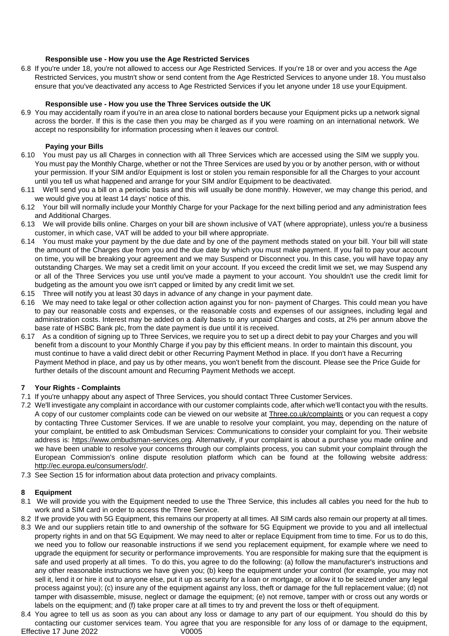### **Responsible use - How you use the Age Restricted Services**

6.8 If you're under 18, you're not allowed to access our Age Restricted Services. If you're 18 or over and you access the Age Restricted Services, you mustn't show or send content from the Age Restricted Services to anyone under 18. You mustalso ensure that you've deactivated any access to Age Restricted Services if you let anyone under 18 use your Equipment.

#### **Responsible use - How you use the Three Services outside the UK**

6.9 You may accidentally roam if you're in an area close to national borders because your Equipment picks up a network signal across the border. If this is the case then you may be charged as if you were roaming on an international network. We accept no responsibility for information processing when it leaves our control.

#### **Paying your Bills**

- 6.10 You must pay us all Charges in connection with all Three Services which are accessed using the SIM we supply you. You must pay the Monthly Charge, whether or not the Three Services are used by you or by another person, with or without your permission. If your SIM and/or Equipment is lost or stolen you remain responsible for all the Charges to your account until you tell us what happened and arrange for your SIM and/or Equipment to be deactivated.
- 6.11 We'll send you a bill on a periodic basis and this will usually be done monthly. However, we may change this period, and we would give you at least 14 days' notice of this.
- 6.12 Your bill will normally include your Monthly Charge for your Package for the next billing period and any administration fees and Additional Charges.
- 6.13 We will provide bills online. Charges on your bill are shown inclusive of VAT (where appropriate), unless you're a business customer, in which case, VAT will be added to your bill where appropriate.
- <span id="page-5-0"></span>6.14 You must make your payment by the due date and by one of the payment methods stated on your bill. Your bill will state the amount of the Charges due from you and the due date by which you must make payment. If you fail to pay your account on time, you will be breaking your agreement and we may Suspend or Disconnect you. In this case, you will have topay any outstanding Charges. We may set a credit limit on your account. If you exceed the credit limit we set, we may Suspend any or all of the Three Services you use until you've made a payment to your account. You shouldn't use the credit limit for budgeting as the amount you owe isn't capped or limited by any credit limit we set.
- 6.15 Three will notify you at least 30 days in advance of any change in your payment date.
- 6.16 We may need to take legal or other collection action against you for non- payment of Charges. This could mean you have to pay our reasonable costs and expenses, or the reasonable costs and expenses of our assignees, including legal and administration costs. Interest may be added on a daily basis to any unpaid Charges and costs, at 2% per annum above the base rate of HSBC Bank plc, from the date payment is due until it is received.
- 6.17 As a condition of signing up to Three Services, we require you to set up a direct debit to pay your Charges and you will benefit from a discount to your Monthly Charge if you pay by this efficient means. In order to maintain this discount, you must continue to have a valid direct debit or other Recurring Payment Method in place. If you don't have a Recurring Payment Method in place, and pay us by other means, you won't benefit from the discount. Please see the Price Guide for further details of the discount amount and Recurring Payment Methods we accept.

#### **7 Your Rights - Complaints**

- 7.1 If you're unhappy about any aspect of Three Services, you should contact Three Customer Services.
- 7.2 We'll investigate any complaint in accordance with our customer complaints code, after which we'll contact you with the results. A copy of our customer complaints code can be viewed on our website at Three.co.uk/complaints or you can request a copy by contacting Three Customer Services. If we are unable to resolve your complaint, you may, depending on the nature of your complaint, be entitled to ask Ombudsman Services: Communications to consider your complaint for you. Their website address is: https://www.ombudsma[n-services.org. Al](https://www.ombudsman-services.org/)ternatively, if your complaint is about a purchase you made online and we have been unable to resolve your concerns through our complaints process, you can submit your complaint through the European Commission's online dispute resolution platform which can be found at the following website addres[s:](http://ec.europa.eu/consumers/odr/) [http://ec.europa.eu/consumers/odr/.](http://ec.europa.eu/consumers/odr/)
- 7.3 See Section 15 for information about data protection and privacy complaints.

#### **8 Equipment**

- 8.1 We will provide you with the Equipment needed to use the Three Service, this includes all cables you need for the hub to work and a SIM card in order to access the Three Service.
- 8.2 If we provide you with 5G Equipment, this remains our property at all times. All SIM cards also remain our property at all times.
- 8.3 We and our suppliers retain title to and ownership of the software for 5G Equipment we provide to you and all intellectual property rights in and on that 5G Equipment. We may need to alter or replace Equipment from time to time. For us to do this, we need you to follow our reasonable instructions if we send you replacement equipment, for example where we need to upgrade the equipment for security or performance improvements. You are responsible for making sure that the equipment is safe and used properly at all times. To do this, you agree to do the following: (a) follow the manufacturer's instructions and any other reasonable instructions we have given you; (b) keep the equipment under your control (for example, you may not sell it, lend it or hire it out to anyone else, put it up as security for a loan or mortgage, or allow it to be seized under any legal process against you); (c) insure any of the equipment against any loss, theft or damage for the full replacement value; (d) not tamper with disassemble, misuse, neglect or damage the equipment; (e) not remove, tamper with or cross out any words or labels on the equipment; and (f) take proper care at all times to try and prevent the loss or theft of equipment.
- Effective 17 June 2022 V0005 8.4 You agree to tell us as soon as you can about any loss or damage to any part of our equipment. You should do this by contacting our customer services team. You agree that you are responsible for any loss of or damage to the equipment,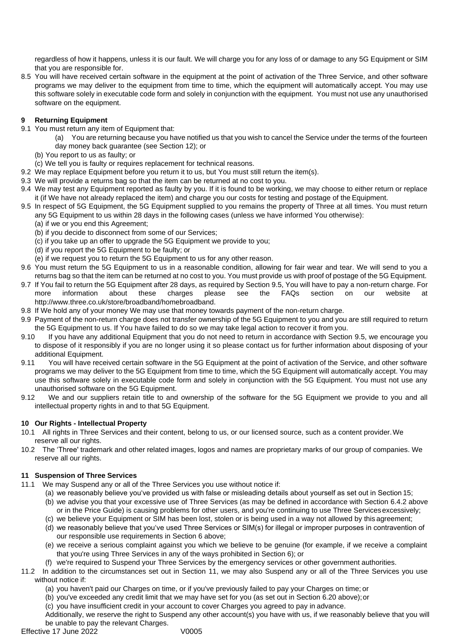<span id="page-6-0"></span>regardless of how it happens, unless it is our fault. We will charge you for any loss of or damage to any 5G Equipment or SIM that you are responsible for.

8.5 You will have received certain software in the equipment at the point of activation of the Three Service, and other software programs we may deliver to the equipment from time to time, which the equipment will automatically accept. You may use this software solely in executable code form and solely in conjunction with the equipment. You must not use any unauthorised software on the equipment.

### **9 Returning Equipment**

- 9.1 You must return any item of Equipment that:
	- (a) You are returning because you have notified us that you wish to cancel the Service under the terms of the fourteen day money back guarantee (see Sectio[n 12\)](#page-7-0); or
	- (b) You report to us as faulty; or
	- (c) We tell you is faulty or requires replacement for technical reasons.
- 9.2 We may replace Equipment before you return it to us, but You must still return the item(s).
- 9.3 We will provide a returns bag so that the item can be returned at no cost to you.
- 9.4 We may test any Equipment reported as faulty by you. If it is found to be working, we may choose to either return or replace it (if We have not already replaced the item) and charge you our costs for testing and postage of the Equipment.
- <span id="page-6-2"></span>9.5 In respect of 5G Equipment, the 5G Equipment supplied to you remains the property of Three at all times. You must return any 5G Equipment to us within 28 days in the following cases (unless we have informed You otherwise):
	- (a) if we or you end this Agreement;
	- (b) if you decide to disconnect from some of our Services;
	- (c) if you take up an offer to upgrade the 5G Equipment we provide to you;
	- (d) if you report the 5G Equipment to be faulty; or
	- (e) if we request you to return the 5G Equipment to us for any other reason.
- 9.6 You must return the 5G Equipment to us in a reasonable condition, allowing for fair wear and tear. We will send to you a returns bag so that the item can be returned at no cost to you. You must provide us with proof of postage of the 5G Equipment.
- <span id="page-6-1"></span>9.7 If You fail to return the 5G Equipment after 28 days, as required by Section [9.5, Y](#page-6-2)ou will have to pay a non-return charge. For more information about these charges please see the FAQs section on our website at [http://www.three.co.uk/store/broadband/homebroadband.](http://www.three.co.uk/store/broadband/homebroadband)
- 9.8 If We hold any of your money We may use that money towards payment of the non-return charge.
- 9.9 Payment of the non-return charge does not transfer ownership of the 5G Equipment to you and you are still required to return the 5G Equipment to us. If You have failed to do so we may take legal action to recover it from you.
- 9.10 If you have any additional Equipment that you do not need to return in accordance with Section [9.5, w](#page-6-2)e encourage you to dispose of it responsibly if you are no longer using it so please contact us for further information about disposing of your additional Equipment.
- 9.11 You will have received certain software in the 5G Equipment at the point of activation of the Service, and other software programs we may deliver to the 5G Equipment from time to time, which the 5G Equipment will automatically accept. You may use this software solely in executable code form and solely in conjunction with the 5G Equipment. You must not use any unauthorised software on the 5G Equipment.
- 9.12 We and our suppliers retain title to and ownership of the software for the 5G Equipment we provide to you and all intellectual property rights in and to that 5G Equipment.

# **10 Our Rights - Intellectual Property**

- 10.1 All rights in Three Services and their content, belong to us, or our licensed source, such as a content provider.We reserve all our rights.
- 10.2 The 'Three' trademark and other related images, logos and names are proprietary marks of our group of companies. We reserve all our rights.

# <span id="page-6-3"></span>**11 Suspension of Three Services**

- 11.1 We may Suspend any or all of the Three Services you use without notice if:
	- (a) we reasonably believe you've provided us with false or misleading details about yourself as set out in Section 15; (b) we advise you that your excessive use of Three Services (as may be defined in accordance with Section [6.4.2 a](#page-4-0)bove or in the Price Guide) is causing problems for other users, and you're continuing to use Three Servicesexcessively;
	- (c) we believe your Equipment or SIM has been lost, stolen or is being used in a way not allowed by this agreement;
	- (d) we reasonably believe that you've used Three Services or SIM(s) for illegal or improper purposes in contravention of our responsible use requirements in Section 6 above;
	- (e) we receive a serious complaint against you which we believe to be genuine (for example, if we receive a complaint that you're using Three Services in any of the ways prohibited in Section 6); or
	- (f) we're required to Suspend your Three Services by the emergency services or other government authorities.
- 11.2 In addition to the circumstances set out in Section [11,](#page-6-3) we may also Suspend any or all of the Three Services you use without notice if:
	- (a) you haven't paid our Charges on time, or if you've previously failed to pay your Charges on time; or
	- (b) you've exceeded any credit limit that we may have set for you (as set out in Section 6.20 above);or
	- (c) you have insufficient credit in your account to cover Charges you agreed to pay in advance.

Additionally, we reserve the right to Suspend any other account(s) you have with us, if we reasonably believe that you will be unable to pay the relevant Charges.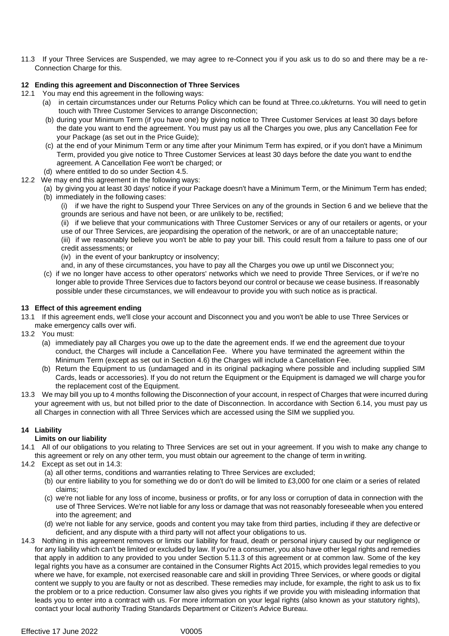11.3 If your Three Services are Suspended, we may agree to re-Connect you if you ask us to do so and there may be a re-Connection Charge for this.

### <span id="page-7-0"></span>**12 Ending this agreement and Disconnection of Three Services**

- 12.1 You may end this agreement in the following ways:
	- (a) in certain circumstances under our Returns Policy which can be found at Three.co.uk/returns. You will need to getin touch with Three Customer Services to arrange Disconnection;
	- (b) during your Minimum Term (if you have one) by giving notice to Three Customer Services at least 30 days before the date you want to end the agreement. You must pay us all the Charges you owe, plus any Cancellation Fee for your Package (as set out in the Price Guide);
	- (c) at the end of your Minimum Term or any time after your Minimum Term has expired, or if you don't have a Minimum Term, provided you give notice to Three Customer Services at least 30 days before the date you want to end the agreement. A Cancellation Fee won't be charged; or
- (d) where entitled to do so under Section 4.5.
- 12.2 We may end this agreement in the following ways:
	- (a) by giving you at least 30 days' notice if your Package doesn't have a Minimum Term, or the Minimum Term has ended; (b) immediately in the following cases:
		- (i) if we have the right to Suspend your Three Services on any of the grounds in Section 6 and we believe that the grounds are serious and have not been, or are unlikely to be, rectified;
		- (ii) if we believe that your communications with Three Customer Services or any of our retailers or agents, or your use of our Three Services, are jeopardising the operation of the network, or are of an unacceptable nature;
		- (iii) if we reasonably believe you won't be able to pay your bill. This could result from a failure to pass one of our credit assessments; or
		- (iv) in the event of your bankruptcy or insolvency;
		- and, in any of these circumstances, you have to pay all the Charges you owe up until we Disconnect you;
	- (c) if we no longer have access to other operators' networks which we need to provide Three Services, or if we're no longer able to provide Three Services due to factors beyond our control or because we cease business. If reasonably possible under these circumstances, we will endeavour to provide you with such notice as is practical.

#### **13 Effect of this agreement ending**

- 13.1 If this agreement ends, we'll close your account and Disconnect you and you won't be able to use Three Services or
- make emergency calls over wifi.
- 13.2 You must:
	- (a) immediately pay all Charges you owe up to the date the agreement ends. If we end the agreement due to your conduct, the Charges will include a Cancellation Fee. Where you have terminated the agreement within the Minimum Term (except as set out in Section 4.6) the Charges will include a Cancellation Fee.
	- (b) Return the Equipment to us (undamaged and in its original packaging where possible and including supplied SIM Cards, leads or accessories). If you do not return the Equipment or the Equipment is damaged we will charge you for the replacement cost of the Equipment.
- 13.3 We may bill you up to 4 months following the Disconnection of your account, in respect of Charges that were incurred during your agreement with us, but not billed prior to the date of Disconnection. In accordance with Section 6.14, you must pay us all Charges in connection with all Three Services which are accessed using the SIM we supplied you.

### **14 Liability**

#### **Limits on our liability**

- 14.1 All of our obligations to you relating to Three Services are set out in your agreement. If you wish to make any change to this agreement or rely on any other term, you must obtain our agreement to the change of term in writing.
- 14.2 Except as set out in 14.3:
	- (a) all other terms, conditions and warranties relating to Three Services are excluded;
	- (b) our entire liability to you for something we do or don't do will be limited to £3,000 for one claim or a series of related claims;
	- (c) we're not liable for any loss of income, business or profits, or for any loss or corruption of data in connection with the use of Three Services. We're not liable for any loss or damage that was not reasonably foreseeable when you entered into the agreement; and
	- (d) we're not liable for any service, goods and content you may take from third parties, including if they are defective or deficient, and any dispute with a third party will not affect your obligations to us.
- 14.3 Nothing in this agreement removes or limits our liability for fraud, death or personal injury caused by our negligence or for any liability which can't be limited or excluded by law. If you're a consumer, you also have other legal rights and remedies that apply in addition to any provided to you under Section 5.11.3 of this agreement or at common law. Some of the key legal rights you have as a consumer are contained in the Consumer Rights Act 2015, which provides legal remedies to you where we have, for example, not exercised reasonable care and skill in providing Three Services, or where goods or digital content we supply to you are faulty or not as described. These remedies may include, for example, the right to ask us to fix the problem or to a price reduction. Consumer law also gives you rights if we provide you with misleading information that leads you to enter into a contract with us. For more information on your legal rights (also known as your statutory rights), contact your local authority Trading Standards Department or Citizen's Advice Bureau.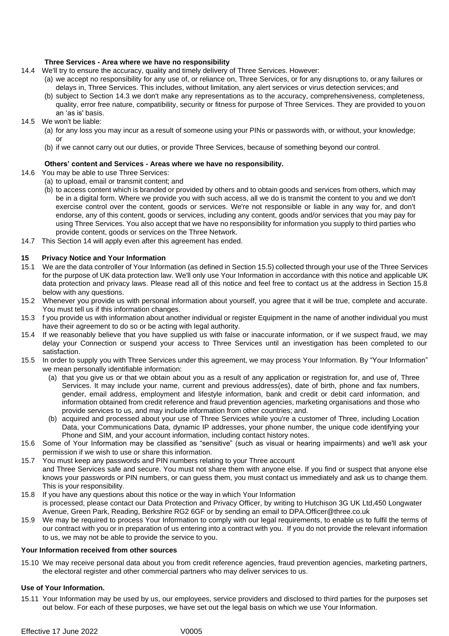#### **Three Services - Area where we have no responsibility**

- 14.4 We'll try to ensure the accuracy, quality and timely delivery of Three Services. However:
	- (a) we accept no responsibility for any use of, or reliance on, Three Services, or for any disruptions to, orany failures or delays in, Three Services. This includes, without limitation, any alert services or virus detection services; and
	- (b) subject to Section 14.3 we don't make any representations as to the accuracy, comprehensiveness, completeness, quality, error free nature, compatibility, security or fitness for purpose of Three Services. They are provided to youon an 'as is' basis.
- 14.5 We won't be liable:
	- (a) for any loss you may incur as a result of someone using your PINs or passwords with, or without, your knowledge; or
	- (b) if we cannot carry out our duties, or provide Three Services, because of something beyond our control.

#### **Others' content and Services - Areas where we have no responsibility.**

- 14.6 You may be able to use Three Services:
	- (a) to upload, email or transmit content; and
		- (b) to access content which is branded or provided by others and to obtain goods and services from others, which may be in a digital form. Where we provide you with such access, all we do is transmit the content to you and we don't exercise control over the content, goods or services. We're not responsible or liable in any way for, and don't endorse, any of this content, goods or services, including any content, goods and/or services that you may pay for using Three Services. You also accept that we have no responsibility for information you supply to third parties who provide content, goods or services on the Three Network.
- 14.7 This Section 14 will apply even after this agreement has ended.

#### **15 Privacy Notice and Your Information**

- 15.1 We are the data controller of Your Information (as defined in Section 15.5) collected through your use of the Three Services for the purpose of UK data protection law. We'll only use Your Information in accordance with this notice and applicable UK data protection and privacy laws. Please read all of this notice and feel free to contact us at the address in Section 15.8 below with any questions.
- 15.2 Whenever you provide us with personal information about yourself, you agree that it will be true, complete and accurate. You must tell us if this information changes.
- 15.3 f you provide us with information about another individual or register Equipment in the name of another individual you must have their agreement to do so or be acting with legal authority.
- 15.4 If we reasonably believe that you have supplied us with false or inaccurate information, or if we suspect fraud, we may delay your Connection or suspend your access to Three Services until an investigation has been completed to our satisfaction.
- 15.5 In order to supply you with Three Services under this agreement, we may process Your Information. By "Your Information" we mean personally identifiable information:
	- (a) that you give us or that we obtain about you as a result of any application or registration for, and use of, Three Services. It may include your name, current and previous address(es), date of birth, phone and fax numbers, gender, email address, employment and lifestyle information, bank and credit or debit card information, and information obtained from credit reference and fraud prevention agencies, marketing organisations and those who provide services to us, and may include information from other countries; and.
	- (b) acquired and processed about your use of Three Services while you're a customer of Three, including Location Data, your Communications Data, dynamic IP addresses, your phone number, the unique code identifying your Phone and SIM, and your account information, including contact history notes.
- 15.6 Some of Your Information may be classified as "sensitive" (such as visual or hearing impairments) and we'll ask your permission if we wish to use or share this information.
- 15.7 You must keep any passwords and PIN numbers relating to your Three account
- and Three Services safe and secure. You must not share them with anyone else. If you find or suspect that anyone else knows your passwords or PIN numbers, or can guess them, you must contact us immediately and ask us to change them. This is your responsibility.
- 15.8 If you have any questions about this notice or the way in which Your Information is processed, please contact our Data Protection and Privacy Officer, by writing to Hutchison 3G UK Ltd,450 Longwater Avenue, Green Park, Reading, Berkshire RG2 6GF or by sending an email to D[PA.Officer@three.co.uk](mailto:DPA.Officer@three.co.uk)
- 15.9 We may be required to process Your Information to comply with our legal requirements, to enable us to fulfil the terms of our contract with you or in preparation of us entering into a contract with you. If you do not provide the relevant information to us, we may not be able to provide the service to you.

#### **Your Information received from other sources**

15.10 We may receive personal data about you from credit reference agencies, fraud prevention agencies, marketing partners, the electoral register and other commercial partners who may deliver services to us.

#### **Use of Your Information.**

15.11 Your Information may be used by us, our employees, service providers and disclosed to third parties for the purposes set out below. For each of these purposes, we have set out the legal basis on which we use Your Information.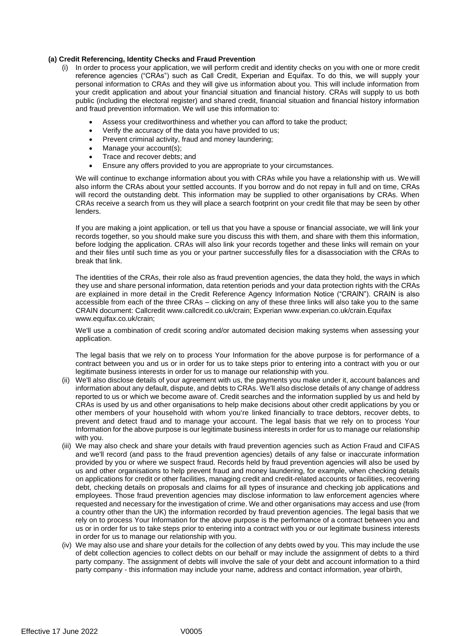#### **(a) Credit Referencing, Identity Checks and Fraud Prevention**

- (i) In order to process your application, we will perform credit and identity checks on you with one or more credit reference agencies ("CRAs") such as Call Credit, Experian and Equifax. To do this, we will supply your personal information to CRAs and they will give us information about you. This will include information from your credit application and about your financial situation and financial history. CRAs will supply to us both public (including the electoral register) and shared credit, financial situation and financial history information and fraud prevention information. We will use this information to:
	- Assess your creditworthiness and whether you can afford to take the product;
	- Verify the accuracy of the data you have provided to us;
	- Prevent criminal activity, fraud and money laundering;
	- Manage your account(s);
	- Trace and recover debts: and
	- Ensure any offers provided to you are appropriate to your circumstances.

We will continue to exchange information about you with CRAs while you have a relationship with us. We will also inform the CRAs about your settled accounts. If you borrow and do not repay in full and on time, CRAs will record the outstanding debt. This information may be supplied to other organisations by CRAs. When CRAs receive a search from us they will place a search footprint on your credit file that may be seen by other lenders.

If you are making a joint application, or tell us that you have a spouse or financial associate, we will link your records together, so you should make sure you discuss this with them, and share with them this information, before lodging the application. CRAs will also link your records together and these links will remain on your and their files until such time as you or your partner successfully files for a disassociation with the CRAs to break that link.

The identities of the CRAs, their role also as fraud prevention agencies, the data they hold, the ways in which they use and share personal information, data retention periods and your data protection rights with the CRAs are explained in more detail in the Credit Reference Agency Information Notice ("CRAIN"). CRAIN is also accessible from each of the three CRAs – clicking on any of these three links will also take you to the same CRAIN document: Callcredi[t www.callcredit.co.uk/crain;](http://www.callcredit.co.uk/crain%3B) Experian [www.experian.co.uk/crain.E](http://www.experian.co.uk/crain)quifax [www.equifax.co.uk/crain;](http://www.equifax.co.uk/crain%3B)

We'll use a combination of credit scoring and/or automated decision making systems when assessing your application.

The legal basis that we rely on to process Your Information for the above purpose is for performance of a contract between you and us or in order for us to take steps prior to entering into a contract with you or our legitimate business interests in order for us to manage our relationship with you.

- (ii) We'll also disclose details of your agreement with us, the payments you make under it, account balances and information about any default, dispute, and debts to CRAs. We'll also disclose details of any change of address reported to us or which we become aware of. Credit searches and the information supplied by us and held by CRAs is used by us and other organisations to help make decisions about other credit applications by you or other members of your household with whom you're linked financially to trace debtors, recover debts, to prevent and detect fraud and to manage your account. The legal basis that we rely on to process Your Information for the above purpose is our legitimate business interests in order for us to manage our relationship with you.
- (iii) We may also check and share your details with fraud prevention agencies such as Action Fraud and CIFAS and we'll record (and pass to the fraud prevention agencies) details of any false or inaccurate information provided by you or where we suspect fraud. Records held by fraud prevention agencies will also be used by us and other organisations to help prevent fraud and money laundering, for example, when checking details on applications for credit or other facilities, managing credit and credit-related accounts or facilities, recovering debt, checking details on proposals and claims for all types of insurance and checking job applications and employees. Those fraud prevention agencies may disclose information to law enforcement agencies where requested and necessary for the investigation of crime. We and other organisations may access and use (from a country other than the UK) the information recorded by fraud prevention agencies. The legal basis that we rely on to process Your Information for the above purpose is the performance of a contract between you and us or in order for us to take steps prior to entering into a contract with you or our legitimate business interests in order for us to manage our relationship with you.
- (iv) We may also use and share your details for the collection of any debts owed by you. This may include the use of debt collection agencies to collect debts on our behalf or may include the assignment of debts to a third party company. The assignment of debts will involve the sale of your debt and account information to a third party company - this information may include your name, address and contact information, year ofbirth,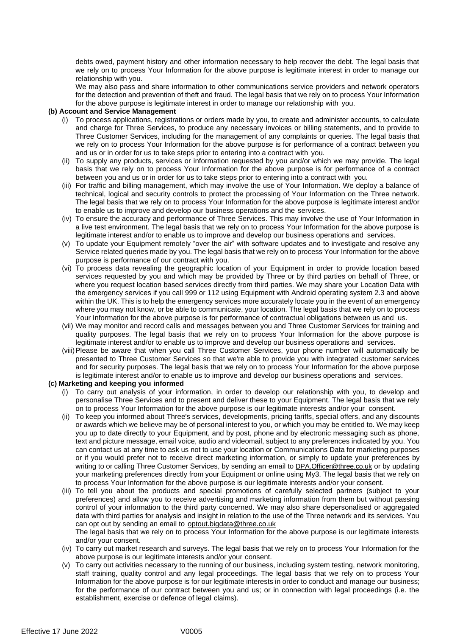debts owed, payment history and other information necessary to help recover the debt. The legal basis that we rely on to process Your Information for the above purpose is legitimate interest in order to manage our relationship with you.

We may also pass and share information to other communications service providers and network operators for the detection and prevention of theft and fraud. The legal basis that we rely on to process Your Information for the above purpose is legitimate interest in order to manage our relationship with you.

#### **(b) Account and Service Management**

- (i) To process applications, registrations or orders made by you, to create and administer accounts, to calculate and charge for Three Services, to produce any necessary invoices or billing statements, and to provide to Three Customer Services, including for the management of any complaints or queries. The legal basis that we rely on to process Your Information for the above purpose is for performance of a contract between you and us or in order for us to take steps prior to entering into a contract with you.
- (ii) To supply any products, services or information requested by you and/or which we may provide. The legal basis that we rely on to process Your Information for the above purpose is for performance of a contract between you and us or in order for us to take steps prior to entering into a contract with you.
- (iii) For traffic and billing management, which may involve the use of Your Information. We deploy a balance of technical, logical and security controls to protect the processing of Your Information on the Three network. The legal basis that we rely on to process Your Information for the above purpose is legitimate interest and/or to enable us to improve and develop our business operations and the services.
- (iv) To ensure the accuracy and performance of Three Services. This may involve the use of Your Information in a live test environment. The legal basis that we rely on to process Your Information for the above purpose is legitimate interest and/or to enable us to improve and develop our business operations and services.
- (v) To update your Equipment remotely "over the air" with software updates and to investigate and resolve any Service related queries made by you. The legal basis that we rely on to process Your Information for the above purpose is performance of our contract with you.
- (vi) To process data revealing the geographic location of your Equipment in order to provide location based services requested by you and which may be provided by Three or by third parties on behalf of Three, or where you request location based services directly from third parties. We may share your Location Data with the emergency services if you call 999 or 112 using Equipment with Android operating system 2.3 and above within the UK. This is to help the emergency services more accurately locate you in the event of an emergency where you may not know, or be able to communicate, your location. The legal basis that we rely on to process Your Information for the above purpose is for performance of contractual obligations between us and us.
- (vii) We may monitor and record calls and messages between you and Three Customer Services for training and quality purposes. The legal basis that we rely on to process Your Information for the above purpose is legitimate interest and/or to enable us to improve and develop our business operations and services.
- (viii)Please be aware that when you call Three Customer Services, your phone number will automatically be presented to Three Customer Services so that we're able to provide you with integrated customer services and for security purposes. The legal basis that we rely on to process Your Information for the above purpose is legitimate interest and/or to enable us to improve and develop our business operations and services.

#### **(c) Marketing and keeping you informed**

- (i) To carry out analysis of your information, in order to develop our relationship with you, to develop and personalise Three Services and to present and deliver these to your Equipment. The legal basis that we rely on to process Your Information for the above purpose is our legitimate interests and/or your consent.
- (ii) To keep you informed about Three's services, developments, pricing tariffs, special offers, and any discounts or awards which we believe may be of personal interest to you, or which you may be entitled to. We may keep you up to date directly to your Equipment, and by post, phone and by electronic messaging such as phone, text and picture message, email voice, audio and videomail, subject to any preferences indicated by you. You can contact us at any time to ask us not to use your location or Communications Data for marketing purposes or if you would prefer not to receive direct marketing information, or simply to update your preferences by writing to or calling Three Customer Services, by sending an email to [DPA.Officer@three.co.uk](mailto:DPA.Officer@three.co.uk) or by updating your marketing preferences directly from your Equipment or online using My3. The legal basis that we rely on to process Your Information for the above purpose is our legitimate interests and/or your consent.
- (iii) To tell you about the products and special promotions of carefully selected partners (subject to your preferences) and allow you to receive advertising and marketing information from them but without passing control of your information to the third party concerned. We may also share depersonalised or aggregated data with third parties for analysis and insight in relation to the use of the Three network and its services. You can opt out by sending an email to [optout.bigdata@three.co.uk](mailto:optout.bigdata@three.co.uk) The legal basis that we rely on to process Your Information for the above purpose is our legitimate interests
- and/or your consent. (iv) To carry out market research and surveys. The legal basis that we rely on to process Your Information for the above purpose is our legitimate interests and/or your consent.
- (v) To carry out activities necessary to the running of our business, including system testing, network monitoring, staff training, quality control and any legal proceedings. The legal basis that we rely on to process Your Information for the above purpose is for our legitimate interests in order to conduct and manage our business; for the performance of our contract between you and us; or in connection with legal proceedings (i.e. the establishment, exercise or defence of legal claims).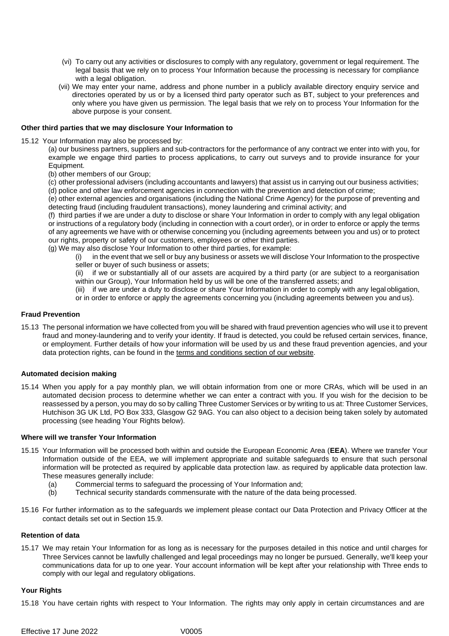- (vi) To carry out any activities or disclosures to comply with any regulatory, government or legal requirement. The legal basis that we rely on to process Your Information because the processing is necessary for compliance with a legal obligation.
- (vii) We may enter your name, address and phone number in a publicly available directory enquiry service and directories operated by us or by a licensed third party operator such as BT, subject to your preferences and only where you have given us permission. The legal basis that we rely on to process Your Information for the above purpose is your consent.

#### **Other third parties that we may disclosure Your Information to**

15.12 Your Information may also be processed by:

(a) our business partners, suppliers and sub-contractors for the performance of any contract we enter into with you, for example we engage third parties to process applications, to carry out surveys and to provide insurance for your Equipment.

- (b) other members of our Group;
- (c) other professional advisers (including accountants and lawyers) that assist us in carrying out our business activities; (d) police and other law enforcement agencies in connection with the prevention and detection of crime;

(e) other external agencies and organisations (including the National Crime Agency) for the purpose of preventing and detecting fraud (including fraudulent transactions), money laundering and criminal activity; and

(f) third parties if we are under a duty to disclose or share Your Information in order to comply with any legal obligation or instructions of a regulatory body (including in connection with a court order), or in order to enforce or apply the terms of any agreements we have with or otherwise concerning you (including agreements between you and us) or to protect our rights, property or safety of our customers, employees or other third parties.

(g) We may also disclose Your Information to other third parties, for example:

(i) in the event that we sell or buy any business or assets we will disclose Your Information to the prospective seller or buyer of such business or assets;

(ii) if we or substantially all of our assets are acquired by a third party (or are subject to a reorganisation within our Group), Your Information held by us will be one of the transferred assets; and

(iii) if we are under a duty to disclose or share Your Information in order to comply with any legal obligation,

or in order to enforce or apply the agreements concerning you (including agreements between you and us).

#### **Fraud Prevention**

15.13 The personal information we have collected from you will be shared with fraud prevention agencies who will use it to prevent fraud and money-laundering and to verify your identity. If fraud is detected, you could be refused certain services, finance, or employment. Further details of how your information will be used by us and these fraud prevention agencies, and your data protection rights, can be found in the [terms and conditions section of our](http://www.three.co.uk/terms-conditions/cifas-data-use-policy) website.

#### **Automated decision making**

15.14 When you apply for a pay monthly plan, we will obtain information from one or more CRAs, which will be used in an automated decision process to determine whether we can enter a contract with you. If you wish for the decision to be reassessed by a person, you may do so by calling Three Customer Services or by writing to us at: Three Customer Services, Hutchison 3G UK Ltd, PO Box 333, Glasgow G2 9AG. You can also object to a decision being taken solely by automated processing (see heading Your Rights below).

#### **Where will we transfer Your Information**

- 15.15 Your Information will be processed both within and outside the European Economic Area (**EEA**). Where we transfer Your Information outside of the EEA, we will implement appropriate and suitable safeguards to ensure that such personal information will be protected as required by applicable data protection law. as required by applicable data protection law. These measures generally include:
	- (a) Commercial terms to safeguard the processing of Your Information and;<br>(b) Technical security standards commensurate with the nature of the data b
	- Technical security standards commensurate with the nature of the data being processed.
- 15.16 For further information as to the safeguards we implement please contact our Data Protection and Privacy Officer at the contact details set out in Section 15.9.

#### **Retention of data**

15.17 We may retain Your Information for as long as is necessary for the purposes detailed in this notice and until charges for Three Services cannot be lawfully challenged and legal proceedings may no longer be pursued. Generally, we'll keep your communications data for up to one year. Your account information will be kept after your relationship with Three ends to comply with our legal and regulatory obligations.

#### **Your Rights**

15.18 You have certain rights with respect to Your Information. The rights may only apply in certain circumstances and are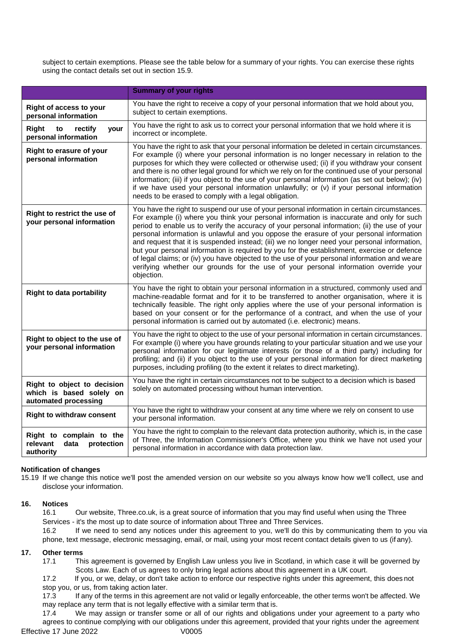subject to certain exemptions. Please see the table below for a summary of your rights. You can exercise these rights using the contact details set out in section 15.9.

|                                                                                 | <b>Summary of your rights</b>                                                                                                                                                                                                                                                                                                                                                                                                                                                                                                                                                                                                                                                                                                                                                                |
|---------------------------------------------------------------------------------|----------------------------------------------------------------------------------------------------------------------------------------------------------------------------------------------------------------------------------------------------------------------------------------------------------------------------------------------------------------------------------------------------------------------------------------------------------------------------------------------------------------------------------------------------------------------------------------------------------------------------------------------------------------------------------------------------------------------------------------------------------------------------------------------|
| Right of access to your<br>personal information                                 | You have the right to receive a copy of your personal information that we hold about you,<br>subject to certain exemptions.                                                                                                                                                                                                                                                                                                                                                                                                                                                                                                                                                                                                                                                                  |
| Right<br>to<br>rectify<br>your<br>personal information                          | You have the right to ask us to correct your personal information that we hold where it is<br>incorrect or incomplete.                                                                                                                                                                                                                                                                                                                                                                                                                                                                                                                                                                                                                                                                       |
| Right to erasure of your<br>personal information                                | You have the right to ask that your personal information be deleted in certain circumstances.<br>For example (i) where your personal information is no longer necessary in relation to the<br>purposes for which they were collected or otherwise used; (ii) if you withdraw your consent<br>and there is no other legal ground for which we rely on for the continued use of your personal<br>information; (iii) if you object to the use of your personal information (as set out below); (iv)<br>if we have used your personal information unlawfully; or $(v)$ if your personal information<br>needs to be erased to comply with a legal obligation.                                                                                                                                     |
| Right to restrict the use of<br>your personal information                       | You have the right to suspend our use of your personal information in certain circumstances.<br>For example (i) where you think your personal information is inaccurate and only for such<br>period to enable us to verify the accuracy of your personal information; (ii) the use of your<br>personal information is unlawful and you oppose the erasure of your personal information<br>and request that it is suspended instead; (iii) we no longer need your personal information,<br>but your personal information is required by you for the establishment, exercise or defence<br>of legal claims; or (iv) you have objected to the use of your personal information and we are<br>verifying whether our grounds for the use of your personal information override your<br>objection. |
| <b>Right to data portability</b>                                                | You have the right to obtain your personal information in a structured, commonly used and<br>machine-readable format and for it to be transferred to another organisation, where it is<br>technically feasible. The right only applies where the use of your personal information is<br>based on your consent or for the performance of a contract, and when the use of your<br>personal information is carried out by automated (i.e. electronic) means.                                                                                                                                                                                                                                                                                                                                    |
| Right to object to the use of<br>your personal information                      | You have the right to object to the use of your personal information in certain circumstances.<br>For example (i) where you have grounds relating to your particular situation and we use your<br>personal information for our legitimate interests (or those of a third party) including for<br>profiling; and (ii) if you object to the use of your personal information for direct marketing<br>purposes, including profiling (to the extent it relates to direct marketing).                                                                                                                                                                                                                                                                                                             |
| Right to object to decision<br>which is based solely on<br>automated processing | You have the right in certain circumstances not to be subject to a decision which is based<br>solely on automated processing without human intervention.                                                                                                                                                                                                                                                                                                                                                                                                                                                                                                                                                                                                                                     |
| <b>Right to withdraw consent</b>                                                | You have the right to withdraw your consent at any time where we rely on consent to use<br>your personal information.                                                                                                                                                                                                                                                                                                                                                                                                                                                                                                                                                                                                                                                                        |
| Right to complain to the<br>relevant<br>data<br>protection<br>authority         | You have the right to complain to the relevant data protection authority, which is, in the case<br>of Three, the Information Commissioner's Office, where you think we have not used your<br>personal information in accordance with data protection law.                                                                                                                                                                                                                                                                                                                                                                                                                                                                                                                                    |

### **Notification of changes**

15.19 If we change this notice we'll post the amended version on our website so you always know how we'll collect, use and disclose your information.

#### **16. Notices**

16.1 Our website, Three.co.uk, is a great source of information that you may find useful when using the Three Services - it's the most up to date source of information about Three and Three Services. 16.2 If we need to send any notices under this agreement to you, we'll do this by communicating them to you via phone, text message, electronic messaging, email, or mail, using your most recent contact details given to us (if any).

#### **17. Other terms**

17.1 This agreement is governed by English Law unless you live in Scotland, in which case it will be governed by Scots Law. Each of us agrees to only bring legal actions about this agreement in a UK court.

17.2 If you, or we, delay, or don't take action to enforce our respective rights under this agreement, this does not stop you, or us, from taking action later.

17.3 If any of the terms in this agreement are not valid or legally enforceable, the other terms won't be affected. We may replace any term that is not legally effective with a similar term that is.

Effective 17 June 2022 V0005 17.4 We may assign or transfer some or all of our rights and obligations under your agreement to a party who agrees to continue complying with our obligations under this agreement, provided that your rights under the agreement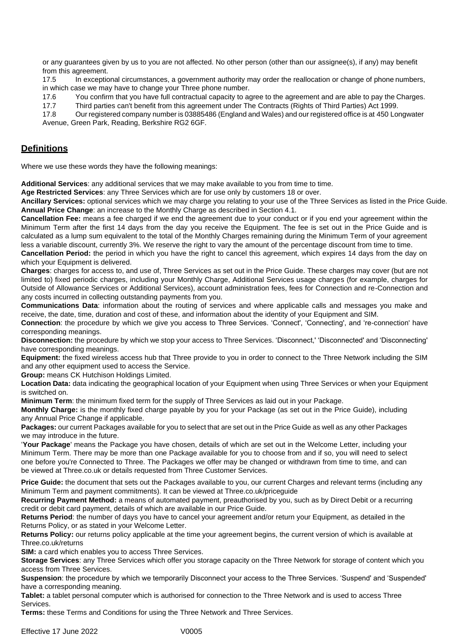or any guarantees given by us to you are not affected. No other person (other than our assignee(s), if any) may benefit from this agreement.

17.5 In exceptional circumstances, a government authority may order the reallocation or change of phone numbers, in which case we may have to change your Three phone number.

17.6 You confirm that you have full contractual capacity to agree to the agreement and are able to pay the Charges.

17.7 Third parties can't benefit from this agreement under The Contracts (Rights of Third Parties) Act 1999.

17.8 Our registered company number is 03885486 (England and Wales) and our registered office is at 450 Longwater Avenue, Green Park, Reading, Berkshire RG2 6GF.

# **Definitions**

Where we use these words they have the following meanings:

**Additional Services**: any additional services that we may make available to you from time to time.

**Age Restricted Services**: any Three Services which are for use only by customers 18 or over.

**Ancillary Services:** optional services which we may charge you relating to your use of the Three Services as listed in the Price Guide. **Annual Price Change**: an increase to the Monthly Charge as described in Section 4.1.

**Cancellation Fee:** means a fee charged if we end the agreement due to your conduct or if you end your agreement within the Minimum Term after the first 14 days from the day you receive the Equipment. The fee is set out in the Price Guide and is calculated as a lump sum equivalent to the total of the Monthly Charges remaining during the Minimum Term of your agreement less a variable discount, currently 3%. We reserve the right to vary the amount of the percentage discount from time to time.

**Cancellation Period:** the period in which you have the right to cancel this agreement, which expires 14 days from the day on which your Equipment is delivered.

**Charges**: charges for access to, and use of, Three Services as set out in the Price Guide. These charges may cover (but are not limited to) fixed periodic charges, including your Monthly Charge, Additional Services usage charges (for example, charges for Outside of Allowance Services or Additional Services), account administration fees, fees for Connection and re-Connection and any costs incurred in collecting outstanding payments from you.

**Communications Data**: information about the routing of services and where applicable calls and messages you make and receive, the date, time, duration and cost of these, and information about the identity of your Equipment and SIM.

**Connection**: the procedure by which we give you access to Three Services. 'Connect', 'Connecting', and 're-connection' have corresponding meanings.

**Disconnection:** the procedure by which we stop your access to Three Services. 'Disconnect,' 'Disconnected' and 'Disconnecting' have corresponding meanings.

**Equipment:** the fixed wireless access hub that Three provide to you in order to connect to the Three Network including the SIM and any other equipment used to access the Service.

**Group:** means CK Hutchison Holdings Limited.

**Location Data:** data indicating the geographical location of your Equipment when using Three Services or when your Equipment is switched on.

**Minimum Term**: the minimum fixed term for the supply of Three Services as laid out in your Package.

**Monthly Charge:** is the monthly fixed charge payable by you for your Package (as set out in the Price Guide), including any Annual Price Change if applicable.

**Packages:** our current Packages available for you to select that are set out in the Price Guide as well as any other Packages we may introduce in the future.

'**Your Package**' means the Package you have chosen, details of which are set out in the Welcome Letter, including your Minimum Term. There may be more than one Package available for you to choose from and if so, you will need to select one before you're Connected to Three. The Packages we offer may be changed or withdrawn from time to time, and can be viewed at Three.co.uk or details requested from Three Customer Services.

**Price Guide:** the document that sets out the Packages available to you, our current Charges and relevant terms (including any Minimum Term and payment commitments). It can be viewed at Three.co.uk/priceguide

**Recurring Payment Method:** a means of automated payment, preauthorised by you, such as by Direct Debit or a recurring credit or debit card payment, details of which are available in our Price Guide.

**Returns Period**: the number of days you have to cancel your agreement and/or return your Equipment, as detailed in the Returns Policy, or as stated in your Welcome Letter.

**Returns Policy:** our returns policy applicable at the time your agreement begins, the current version of which is available at Three.co.uk/returns

**SIM:** a card which enables you to access Three Services.

**Storage Services**: any Three Services which offer you storage capacity on the Three Network for storage of content which you access from Three Services.

**Suspension**: the procedure by which we temporarily Disconnect your access to the Three Services. 'Suspend' and 'Suspended' have a corresponding meaning.

**Tablet:** a tablet personal computer which is authorised for connection to the Three Network and is used to access Three Services.

**Terms:** these Terms and Conditions for using the Three Network and Three Services.